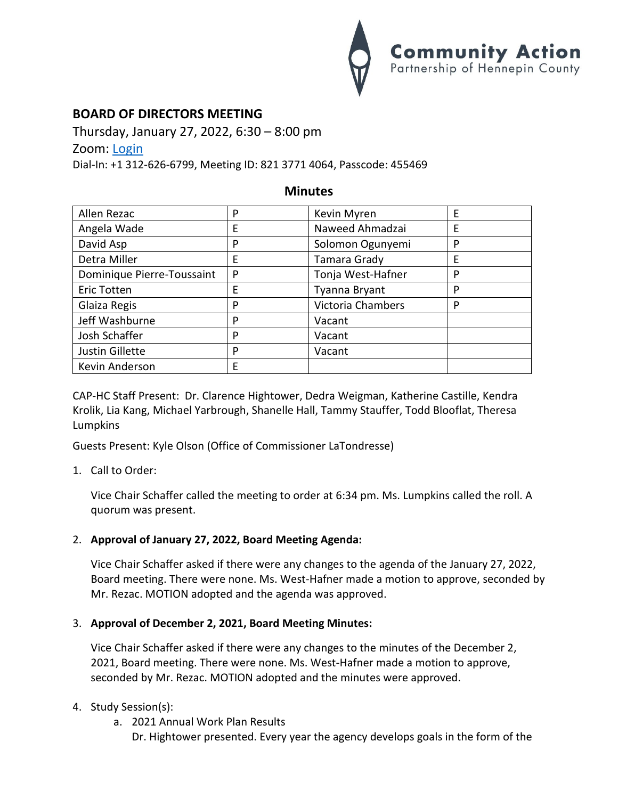

# **BOARD OF DIRECTORS MEETING**

Thursday, January 27, 2022, 6:30 – 8:00 pm Zoom: [Login](https://us02web.zoom.us/j/82137714064?pwd=N1dZY3NqWXFUbGR2UGZGdWdTNkNDdz09)

Dial-In: +1 312-626-6799, Meeting ID: 821 3771 4064, Passcode: 455469

### **Minutes**

| Allen Rezac                | P | Kevin Myren       | E |
|----------------------------|---|-------------------|---|
| Angela Wade                | E | Naweed Ahmadzai   | E |
| David Asp                  | P | Solomon Ogunyemi  | P |
| Detra Miller               | E | Tamara Grady      | E |
| Dominique Pierre-Toussaint | P | Tonja West-Hafner | P |
| <b>Eric Totten</b>         | E | Tyanna Bryant     | P |
| Glaiza Regis               | P | Victoria Chambers | P |
| Jeff Washburne             | P | Vacant            |   |
| Josh Schaffer              | P | Vacant            |   |
| Justin Gillette            | P | Vacant            |   |
| Kevin Anderson             | E |                   |   |

CAP-HC Staff Present: Dr. Clarence Hightower, Dedra Weigman, Katherine Castille, Kendra Krolik, Lia Kang, Michael Yarbrough, Shanelle Hall, Tammy Stauffer, Todd Blooflat, Theresa Lumpkins

Guests Present: Kyle Olson (Office of Commissioner LaTondresse)

1. Call to Order:

Vice Chair Schaffer called the meeting to order at 6:34 pm. Ms. Lumpkins called the roll. A quorum was present.

## 2. **Approval of January 27, 2022, Board Meeting Agenda:**

Vice Chair Schaffer asked if there were any changes to the agenda of the January 27, 2022, Board meeting. There were none. Ms. West-Hafner made a motion to approve, seconded by Mr. Rezac. MOTION adopted and the agenda was approved.

## 3. **Approval of December 2, 2021, Board Meeting Minutes:**

Vice Chair Schaffer asked if there were any changes to the minutes of the December 2, 2021, Board meeting. There were none. Ms. West-Hafner made a motion to approve, seconded by Mr. Rezac. MOTION adopted and the minutes were approved.

#### 4. Study Session(s):

a. 2021 Annual Work Plan Results

Dr. Hightower presented. Every year the agency develops goals in the form of the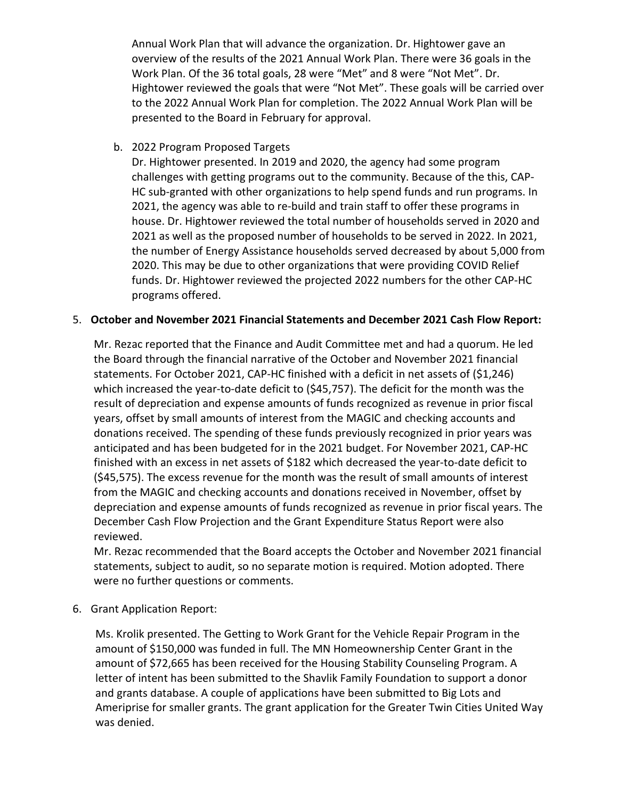Annual Work Plan that will advance the organization. Dr. Hightower gave an overview of the results of the 2021 Annual Work Plan. There were 36 goals in the Work Plan. Of the 36 total goals, 28 were "Met" and 8 were "Not Met". Dr. Hightower reviewed the goals that were "Not Met". These goals will be carried over to the 2022 Annual Work Plan for completion. The 2022 Annual Work Plan will be presented to the Board in February for approval.

b. 2022 Program Proposed Targets

Dr. Hightower presented. In 2019 and 2020, the agency had some program challenges with getting programs out to the community. Because of the this, CAP-HC sub-granted with other organizations to help spend funds and run programs. In 2021, the agency was able to re-build and train staff to offer these programs in house. Dr. Hightower reviewed the total number of households served in 2020 and 2021 as well as the proposed number of households to be served in 2022. In 2021, the number of Energy Assistance households served decreased by about 5,000 from 2020. This may be due to other organizations that were providing COVID Relief funds. Dr. Hightower reviewed the projected 2022 numbers for the other CAP-HC programs offered.

### 5. **October and November 2021 Financial Statements and December 2021 Cash Flow Report:**

Mr. Rezac reported that the Finance and Audit Committee met and had a quorum. He led the Board through the financial narrative of the October and November 2021 financial statements. For October 2021, CAP-HC finished with a deficit in net assets of (\$1,246) which increased the year-to-date deficit to (\$45,757). The deficit for the month was the result of depreciation and expense amounts of funds recognized as revenue in prior fiscal years, offset by small amounts of interest from the MAGIC and checking accounts and donations received. The spending of these funds previously recognized in prior years was anticipated and has been budgeted for in the 2021 budget. For November 2021, CAP-HC finished with an excess in net assets of \$182 which decreased the year-to-date deficit to (\$45,575). The excess revenue for the month was the result of small amounts of interest from the MAGIC and checking accounts and donations received in November, offset by depreciation and expense amounts of funds recognized as revenue in prior fiscal years. The December Cash Flow Projection and the Grant Expenditure Status Report were also reviewed.

Mr. Rezac recommended that the Board accepts the October and November 2021 financial statements, subject to audit, so no separate motion is required. Motion adopted. There were no further questions or comments.

6. Grant Application Report:

Ms. Krolik presented. The Getting to Work Grant for the Vehicle Repair Program in the amount of \$150,000 was funded in full. The MN Homeownership Center Grant in the amount of \$72,665 has been received for the Housing Stability Counseling Program. A letter of intent has been submitted to the Shavlik Family Foundation to support a donor and grants database. A couple of applications have been submitted to Big Lots and Ameriprise for smaller grants. The grant application for the Greater Twin Cities United Way was denied.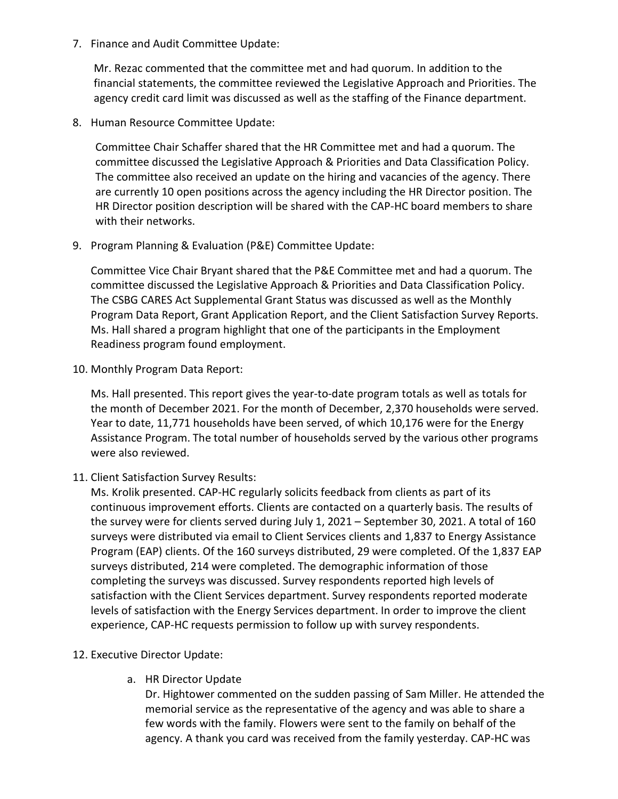7. Finance and Audit Committee Update:

Mr. Rezac commented that the committee met and had quorum. In addition to the financial statements, the committee reviewed the Legislative Approach and Priorities. The agency credit card limit was discussed as well as the staffing of the Finance department.

8. Human Resource Committee Update:

Committee Chair Schaffer shared that the HR Committee met and had a quorum. The committee discussed the Legislative Approach & Priorities and Data Classification Policy. The committee also received an update on the hiring and vacancies of the agency. There are currently 10 open positions across the agency including the HR Director position. The HR Director position description will be shared with the CAP-HC board members to share with their networks.

9. Program Planning & Evaluation (P&E) Committee Update:

Committee Vice Chair Bryant shared that the P&E Committee met and had a quorum. The committee discussed the Legislative Approach & Priorities and Data Classification Policy. The CSBG CARES Act Supplemental Grant Status was discussed as well as the Monthly Program Data Report, Grant Application Report, and the Client Satisfaction Survey Reports. Ms. Hall shared a program highlight that one of the participants in the Employment Readiness program found employment.

10. Monthly Program Data Report:

Ms. Hall presented. This report gives the year-to-date program totals as well as totals for the month of December 2021. For the month of December, 2,370 households were served. Year to date, 11,771 households have been served, of which 10,176 were for the Energy Assistance Program. The total number of households served by the various other programs were also reviewed.

11. Client Satisfaction Survey Results:

Ms. Krolik presented. CAP-HC regularly solicits feedback from clients as part of its continuous improvement efforts. Clients are contacted on a quarterly basis. The results of the survey were for clients served during July 1, 2021 – September 30, 2021. A total of 160 surveys were distributed via email to Client Services clients and 1,837 to Energy Assistance Program (EAP) clients. Of the 160 surveys distributed, 29 were completed. Of the 1,837 EAP surveys distributed, 214 were completed. The demographic information of those completing the surveys was discussed. Survey respondents reported high levels of satisfaction with the Client Services department. Survey respondents reported moderate levels of satisfaction with the Energy Services department. In order to improve the client experience, CAP-HC requests permission to follow up with survey respondents.

## 12. Executive Director Update:

a. HR Director Update

Dr. Hightower commented on the sudden passing of Sam Miller. He attended the memorial service as the representative of the agency and was able to share a few words with the family. Flowers were sent to the family on behalf of the agency. A thank you card was received from the family yesterday. CAP-HC was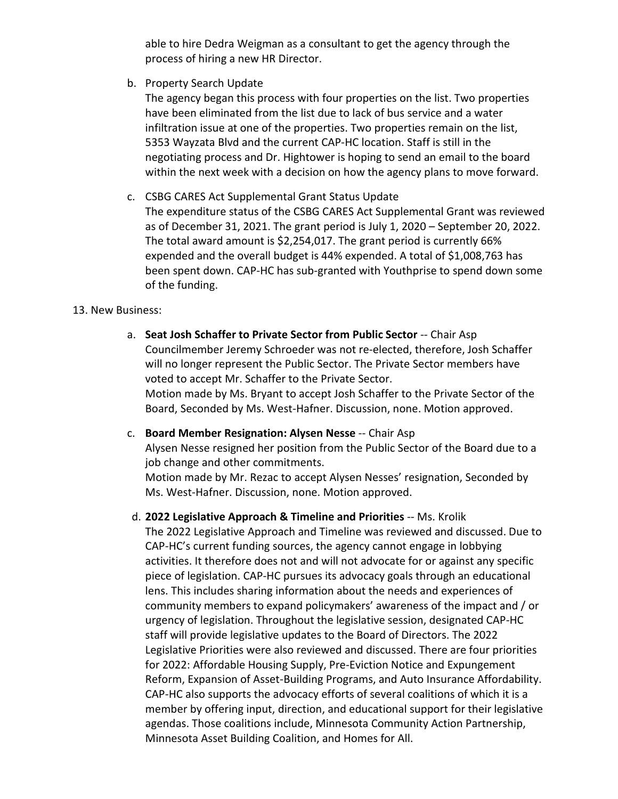able to hire Dedra Weigman as a consultant to get the agency through the process of hiring a new HR Director.

b. Property Search Update

The agency began this process with four properties on the list. Two properties have been eliminated from the list due to lack of bus service and a water infiltration issue at one of the properties. Two properties remain on the list, 5353 Wayzata Blvd and the current CAP-HC location. Staff is still in the negotiating process and Dr. Hightower is hoping to send an email to the board within the next week with a decision on how the agency plans to move forward.

c. CSBG CARES Act Supplemental Grant Status Update The expenditure status of the CSBG CARES Act Supplemental Grant was reviewed as of December 31, 2021. The grant period is July 1, 2020 – September 20, 2022. The total award amount is \$2,254,017. The grant period is currently 66% expended and the overall budget is 44% expended. A total of \$1,008,763 has been spent down. CAP-HC has sub-granted with Youthprise to spend down some of the funding.

### 13. New Business:

- a. **Seat Josh Schaffer to Private Sector from Public Sector** -- Chair Asp Councilmember Jeremy Schroeder was not re-elected, therefore, Josh Schaffer will no longer represent the Public Sector. The Private Sector members have voted to accept Mr. Schaffer to the Private Sector. Motion made by Ms. Bryant to accept Josh Schaffer to the Private Sector of the Board, Seconded by Ms. West-Hafner. Discussion, none. Motion approved.
- c. **Board Member Resignation: Alysen Nesse** -- Chair Asp Alysen Nesse resigned her position from the Public Sector of the Board due to a job change and other commitments. Motion made by Mr. Rezac to accept Alysen Nesses' resignation, Seconded by Ms. West-Hafner. Discussion, none. Motion approved.
- d. **2022 Legislative Approach & Timeline and Priorities** -- Ms. Krolik The 2022 Legislative Approach and Timeline was reviewed and discussed. Due to CAP-HC's current funding sources, the agency cannot engage in lobbying

activities. It therefore does not and will not advocate for or against any specific piece of legislation. CAP-HC pursues its advocacy goals through an educational lens. This includes sharing information about the needs and experiences of community members to expand policymakers' awareness of the impact and / or urgency of legislation. Throughout the legislative session, designated CAP-HC staff will provide legislative updates to the Board of Directors. The 2022 Legislative Priorities were also reviewed and discussed. There are four priorities for 2022: Affordable Housing Supply, Pre-Eviction Notice and Expungement Reform, Expansion of Asset-Building Programs, and Auto Insurance Affordability. CAP-HC also supports the advocacy efforts of several coalitions of which it is a member by offering input, direction, and educational support for their legislative agendas. Those coalitions include, Minnesota Community Action Partnership, Minnesota Asset Building Coalition, and Homes for All.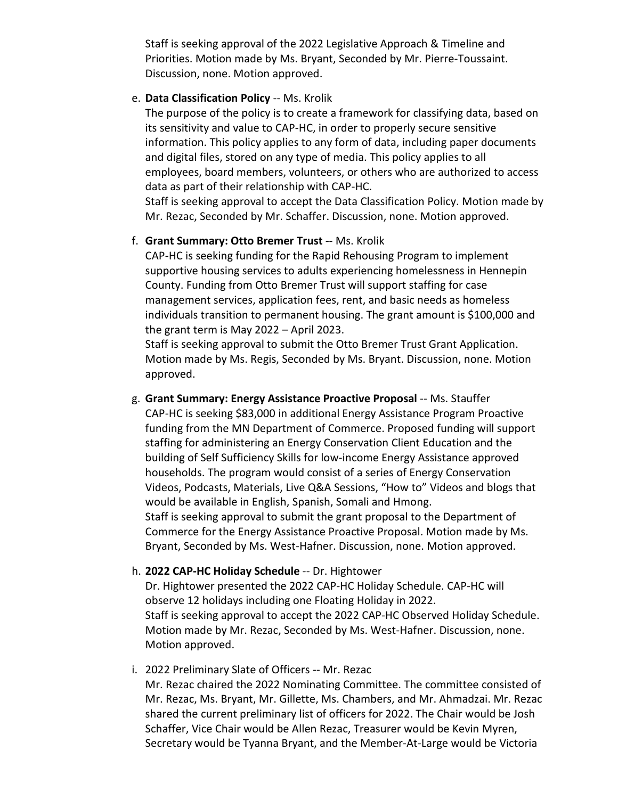Staff is seeking approval of the 2022 Legislative Approach & Timeline and Priorities. Motion made by Ms. Bryant, Seconded by Mr. Pierre-Toussaint. Discussion, none. Motion approved.

#### e. **Data Classification Policy** -- Ms. Krolik

The purpose of the policy is to create a framework for classifying data, based on its sensitivity and value to CAP-HC, in order to properly secure sensitive information. This policy applies to any form of data, including paper documents and digital files, stored on any type of media. This policy applies to all employees, board members, volunteers, or others who are authorized to access data as part of their relationship with CAP-HC.

Staff is seeking approval to accept the Data Classification Policy. Motion made by Mr. Rezac, Seconded by Mr. Schaffer. Discussion, none. Motion approved.

#### f. **Grant Summary: Otto Bremer Trust** -- Ms. Krolik

CAP-HC is seeking funding for the Rapid Rehousing Program to implement supportive housing services to adults experiencing homelessness in Hennepin County. Funding from Otto Bremer Trust will support staffing for case management services, application fees, rent, and basic needs as homeless individuals transition to permanent housing. The grant amount is \$100,000 and the grant term is May 2022 – April 2023.

Staff is seeking approval to submit the Otto Bremer Trust Grant Application. Motion made by Ms. Regis, Seconded by Ms. Bryant. Discussion, none. Motion approved.

g. **Grant Summary: Energy Assistance Proactive Proposal** -- Ms. Stauffer CAP-HC is seeking \$83,000 in additional Energy Assistance Program Proactive funding from the MN Department of Commerce. Proposed funding will support staffing for administering an Energy Conservation Client Education and the building of Self Sufficiency Skills for low-income Energy Assistance approved households. The program would consist of a series of Energy Conservation Videos, Podcasts, Materials, Live Q&A Sessions, "How to" Videos and blogs that would be available in English, Spanish, Somali and Hmong. Staff is seeking approval to submit the grant proposal to the Department of Commerce for the Energy Assistance Proactive Proposal. Motion made by Ms. Bryant, Seconded by Ms. West-Hafner. Discussion, none. Motion approved.

#### h. **2022 CAP-HC Holiday Schedule** -- Dr. Hightower

Dr. Hightower presented the 2022 CAP-HC Holiday Schedule. CAP-HC will observe 12 holidays including one Floating Holiday in 2022. Staff is seeking approval to accept the 2022 CAP-HC Observed Holiday Schedule. Motion made by Mr. Rezac, Seconded by Ms. West-Hafner. Discussion, none. Motion approved.

#### i. 2022 Preliminary Slate of Officers -- Mr. Rezac

Mr. Rezac chaired the 2022 Nominating Committee. The committee consisted of Mr. Rezac, Ms. Bryant, Mr. Gillette, Ms. Chambers, and Mr. Ahmadzai. Mr. Rezac shared the current preliminary list of officers for 2022. The Chair would be Josh Schaffer, Vice Chair would be Allen Rezac, Treasurer would be Kevin Myren, Secretary would be Tyanna Bryant, and the Member-At-Large would be Victoria